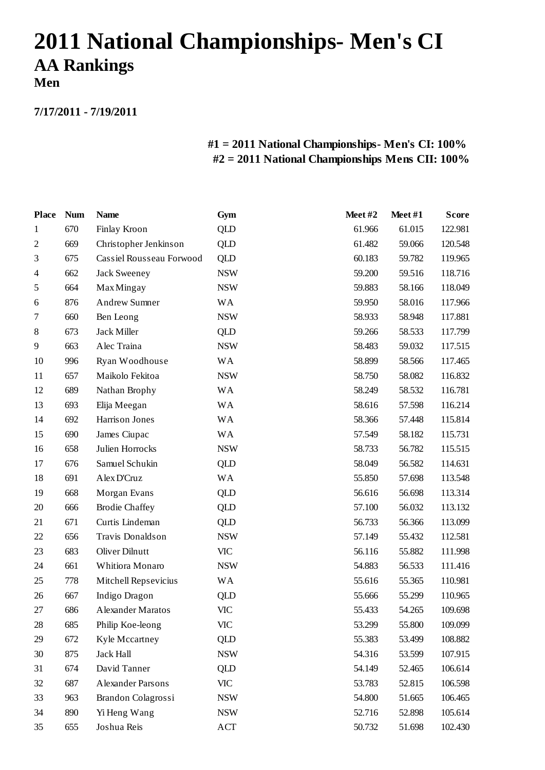## **2011 National Championships- Men's CI AA Rankings**

**Men**

**7/17/2011 - 7/19/2011**

## **#1 = 2011 National Championships- Men's CI: 100% #2 = 2011 National Championships Mens CII: 100%**

| <b>Place</b>   | <b>Num</b> | <b>Name</b>              | Gym        | Meet#2 | Meet#1 | <b>Score</b> |
|----------------|------------|--------------------------|------------|--------|--------|--------------|
| $\mathbf{1}$   | 670        | Finlay Kroon             | <b>QLD</b> | 61.966 | 61.015 | 122.981      |
| $\overline{2}$ | 669        | Christopher Jenkinson    | <b>QLD</b> | 61.482 | 59.066 | 120.548      |
| 3              | 675        | Cassiel Rousseau Forwood | QLD        | 60.183 | 59.782 | 119.965      |
| 4              | 662        | <b>Jack Sweeney</b>      | <b>NSW</b> | 59.200 | 59.516 | 118.716      |
| 5              | 664        | <b>Max Mingay</b>        | <b>NSW</b> | 59.883 | 58.166 | 118.049      |
| 6              | 876        | <b>Andrew Sumner</b>     | <b>WA</b>  | 59.950 | 58.016 | 117.966      |
| 7              | 660        | Ben Leong                | <b>NSW</b> | 58.933 | 58.948 | 117.881      |
| 8              | 673        | Jack Miller              | QLD        | 59.266 | 58.533 | 117.799      |
| 9              | 663        | Alec Traina              | <b>NSW</b> | 58.483 | 59.032 | 117.515      |
| 10             | 996        | Ryan Woodhouse           | <b>WA</b>  | 58.899 | 58.566 | 117.465      |
| 11             | 657        | Maikolo Fekitoa          | <b>NSW</b> | 58.750 | 58.082 | 116.832      |
| 12             | 689        | Nathan Brophy            | <b>WA</b>  | 58.249 | 58.532 | 116.781      |
| 13             | 693        | Elija Meegan             | <b>WA</b>  | 58.616 | 57.598 | 116.214      |
| 14             | 692        | Harrison Jones           | <b>WA</b>  | 58.366 | 57.448 | 115.814      |
| 15             | 690        | James Ciupac             | WA         | 57.549 | 58.182 | 115.731      |
| 16             | 658        | Julien Horrocks          | <b>NSW</b> | 58.733 | 56.782 | 115.515      |
| 17             | 676        | Samuel Schukin           | <b>QLD</b> | 58.049 | 56.582 | 114.631      |
| 18             | 691        | Alex D'Cruz              | WA         | 55.850 | 57.698 | 113.548      |
| 19             | 668        | Morgan Evans             | <b>QLD</b> | 56.616 | 56.698 | 113.314      |
| 20             | 666        | <b>Brodie Chaffey</b>    | QLD        | 57.100 | 56.032 | 113.132      |
| 21             | 671        | Curtis Lindeman          | QLD        | 56.733 | 56.366 | 113.099      |
| 22             | 656        | Travis Donaldson         | <b>NSW</b> | 57.149 | 55.432 | 112.581      |
| 23             | 683        | Oliver Dilnutt           | <b>VIC</b> | 56.116 | 55.882 | 111.998      |
| 24             | 661        | Whitiora Monaro          | <b>NSW</b> | 54.883 | 56.533 | 111.416      |
| 25             | 778        | Mitchell Repsevicius     | <b>WA</b>  | 55.616 | 55.365 | 110.981      |
| 26             | 667        | Indigo Dragon            | QLD        | 55.666 | 55.299 | 110.965      |
| 27             | 686        | Alexander Maratos        | <b>VIC</b> | 55.433 | 54.265 | 109.698      |
| 28             | 685        | Philip Koe-leong         | VIC        | 53.299 | 55.800 | 109.099      |
| 29             | 672        | Kyle Mccartney           | <b>QLD</b> | 55.383 | 53.499 | 108.882      |
| 30             | 875        | Jack Hall                | <b>NSW</b> | 54.316 | 53.599 | 107.915      |
| 31             | 674        | David Tanner             | <b>QLD</b> | 54.149 | 52.465 | 106.614      |
| 32             | 687        | Alexander Parsons        | VIC        | 53.783 | 52.815 | 106.598      |
| 33             | 963        | Brandon Colagrossi       | <b>NSW</b> | 54.800 | 51.665 | 106.465      |
| 34             | 890        | Yi Heng Wang             | <b>NSW</b> | 52.716 | 52.898 | 105.614      |
| 35             | 655        | Joshua Reis              | ACT        | 50.732 | 51.698 | 102.430      |